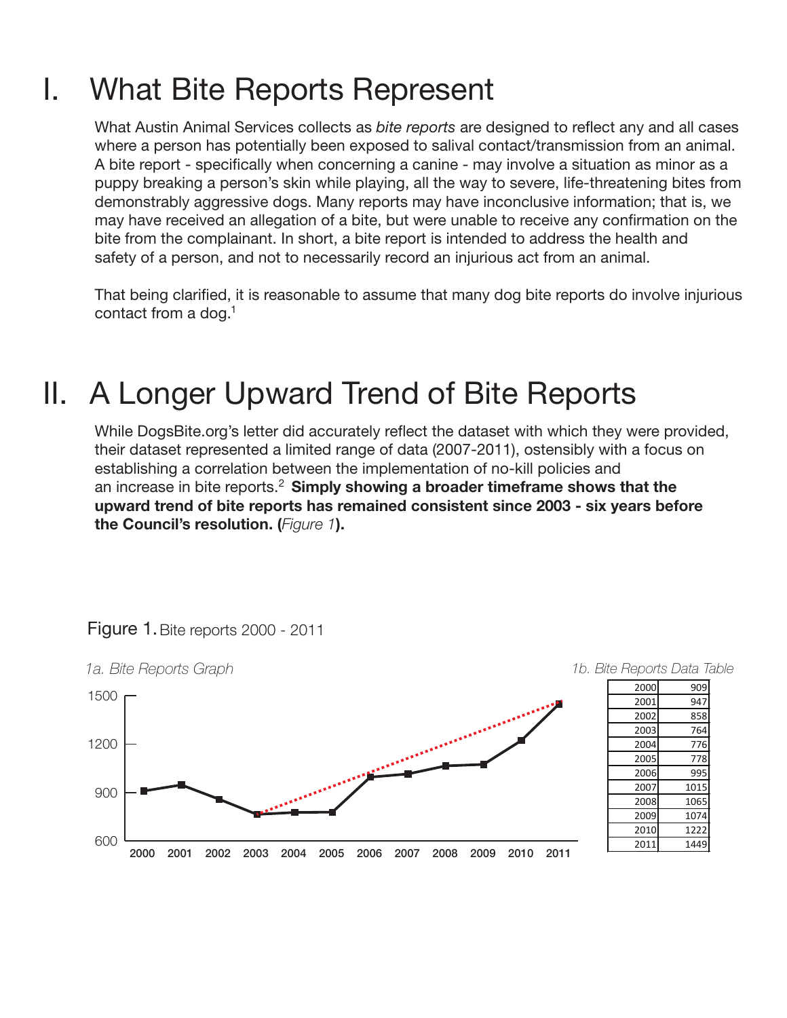## I. What Bite Reports Represent

What Austin Animal Services collects as *bite reports* are designed to reflect any and all cases where a person has potentially been exposed to salival contact/transmission from an animal. A bite report - specifically when concerning a canine - may involve a situation as minor as a puppy breaking a person's skin while playing, all the way to severe, life-threatening bites from demonstrably aggressive dogs. Many reports may have inconclusive information; that is, we may have received an allegation of a bite, but were unable to receive any confirmation on the bite from the complainant. In short, a bite report is intended to address the health and safety of a person, and not to necessarily record an injurious act from an animal.

That being clarified, it is reasonable to assume that many dog bite reports do involve injurious contact from a dog. 1

# II. A Longer Upward Trend of Bite Reports

While DogsBite.org's letter did accurately reflect the dataset with which they were provided, their dataset represented a limited range of data (2007-2011), ostensibly with a focus on establishing a correlation between the implementation of no-kill policies and an increase in bite reports.<sup>2</sup> Simply showing a broader timeframe shows that the upward trend of bite reports has remained consistent since 2003 - six years before the Council's resolution. (*Figure 1*).



#### Figure 1.Bite reports 2000 - 2011

| 2000 | 909  |
|------|------|
| 2001 | 947  |
| 2002 | 858  |
| 2003 | 764  |
| 2004 | 776  |
| 2005 | 778  |
| 2006 | 995  |
| 2007 | 1015 |
| 2008 | 1065 |
| 2009 | 1074 |
| 2010 | 1222 |
| 2011 | 1449 |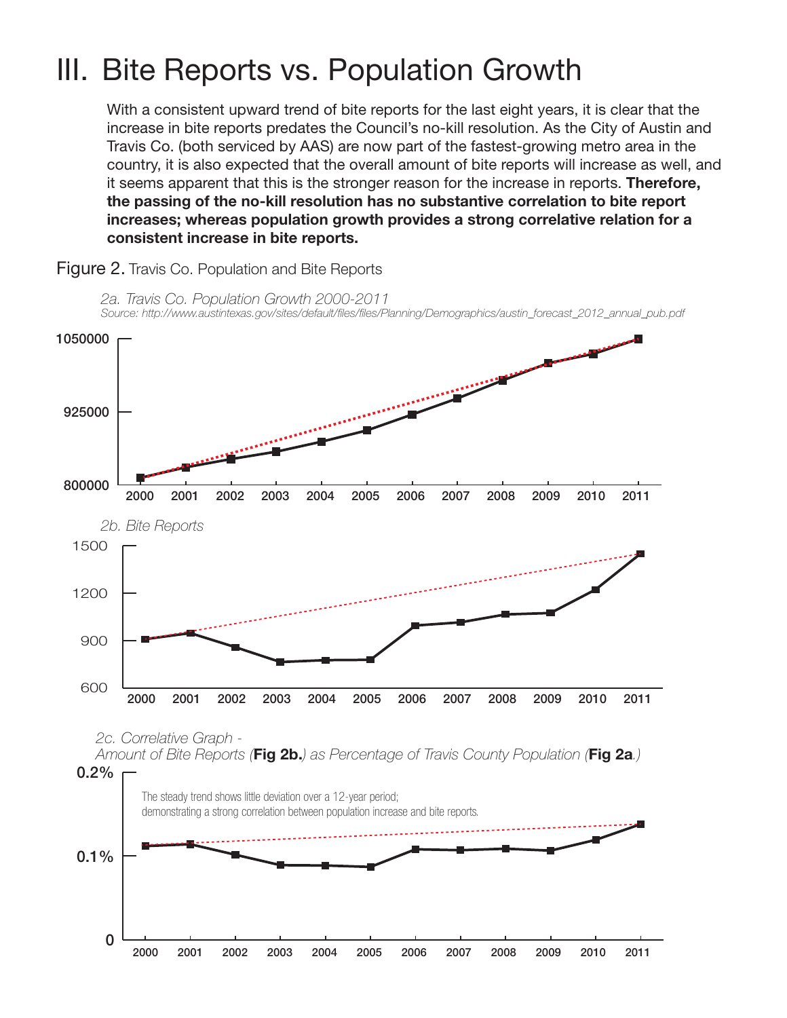### III. Bite Reports vs. Population Growth

With a consistent upward trend of bite reports for the last eight years, it is clear that the increase in bite reports predates the Council's no-kill resolution. As the City of Austin and Travis Co. (both serviced by AAS) are now part of the fastest-growing metro area in the country, it is also expected that the overall amount of bite reports will increase as well, and it seems apparent that this is the stronger reason for the increase in reports. Therefore, the passing of the no-kill resolution has no substantive correlation to bite report increases; whereas population growth provides a strong correlative relation for a consistent increase in bite reports.



Figure 2. Travis Co. Population and Bite Reports

 $\Omega$ 

2000 2001 2002 2003 2004 2005 2006 2007 2008 2009 2010 2011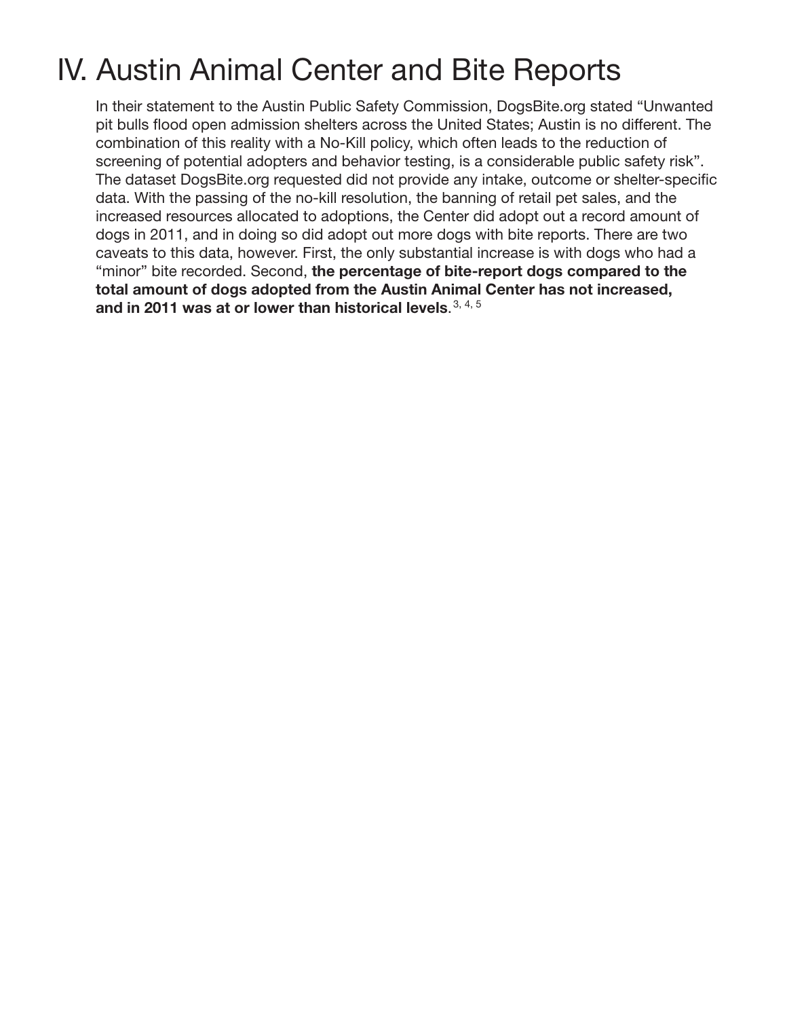# IV. Austin Animal Center and Bite Reports

In their statement to the Austin Public Safety Commission, DogsBite.org stated "Unwanted pit bulls flood open admission shelters across the United States; Austin is no different. The combination of this reality with a No-Kill policy, which often leads to the reduction of screening of potential adopters and behavior testing, is a considerable public safety risk". The dataset DogsBite.org requested did not provide any intake, outcome or shelter-specific data. With the passing of the no-kill resolution, the banning of retail pet sales, and the increased resources allocated to adoptions, the Center did adopt out a record amount of dogs in 2011, and in doing so did adopt out more dogs with bite reports. There are two caveats to this data, however. First, the only substantial increase is with dogs who had a "minor" bite recorded. Second, the percentage of bite-report dogs compared to the total amount of dogs adopted from the Austin Animal Center has not increased, and in 2011 was at or lower than historical levels.  $3, 4, 5$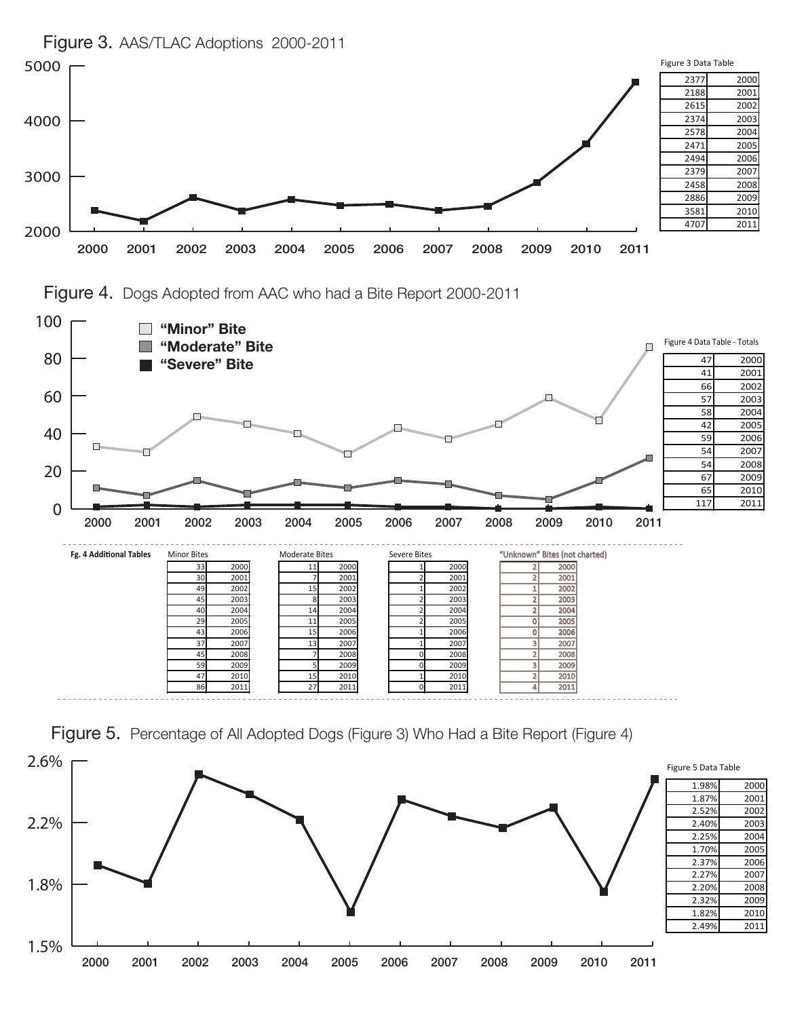

Figure 4. Dogs Adopted from AAC who had a Bite Report 2000-2011



Figure 5. Percentage of All Adopted Dogs (Figure 3) Who Had a Bite Report (Figure 4)